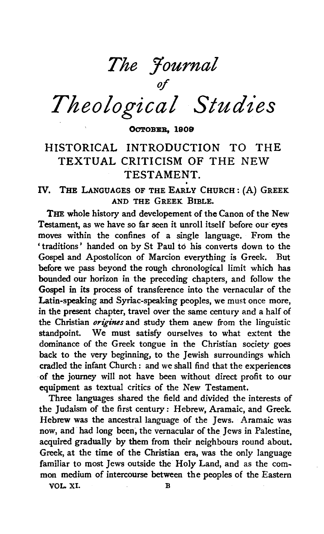*The Journal of* 

*Theological Studies* 

OCTOBER, 1909

# HISTORICAL INTRODUCTION TO THE TEXTUAL CRITICISM OF THE NEW TESTAMENT.<br>IV. THE LANGUAGES OF THE EARLY CHURCH: (A) GREEK

AND THE GREEK BIBLE.

THE whole history and developement of the Canon of the New Testament, as we have so far seen it unroll itself before our eyes moves within the confines of a single language. From the ' traditions' handed on by St Paul to his converts down to the Gospel and Apostolicon of Marcion everything is Greek. But before we pass beyond the rough chronological limit which has bounded our horizon in the preceding chapters, and follow the Gospel in its process of transference into the vernacular of the Latin-speaking and Syriac-speaking peoples, we must once more, in the present chapter, travel over the same century and a half of the Christian *origines* and study them anew from the linguistic standpoint. We must satisfy ourselves to what extent the dominance of the Greek tongue in the Christian society goes back to the very beginning, to the Jewish surroundings which cradled the infant Church : and we shall find that the experiences of the journey will not have been without direct profit to our equipment as textual critics of the New Testament.

Three languages shared the field and divided the interests of the Judaism of the first century: Hebrew, Aramaic, and Greek Hebrew was the ancestral language of the Jews. Aramaic was now, and had long been, the vernacular of the Jews in Palestine, acquired gradually by them from their neighbours round about. Greek, at the time of the Christian era, was the only language familiar to most Jews outside the Holy Land, and as the common medium of intercourse between the peoples of the Eastern

VOL.XI. B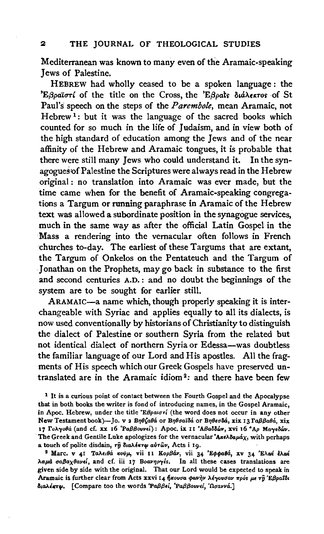Mediterranean was known to many even of the Aramaic-speaking Jews of Palestine.

HEBREW had wholly ceased to be a spoken language : the 'Εβραϊστί of the title on the Cross, the 'Εβραίς διάλεκτος of St Paul's speech on the steps of the *Parembole,* mean Aramaic, not Hebrew<sup>1</sup>: but it was the language of the sacred books which counted for so much in the life of Judaism, and in view both of the high standard of education among the Jews and of the near affinity of the Hebrew and Aramaic tongues, it is probable that there were still many Jews who could understand it. In the synagogues of Palestine the Scriptures were always read in the Hebrew original : no translation into Aramaic was ever made, but the time came when for the benefit of Aramaic-speaking congregations a Targum or running paraphrase in Aramaic of the Hebrew text was allowed a subordinate position in the synagogue services, much in the same way as after the official Latin Gospel in the Mass a rendering into the vernacular often follows in French churches to-day. The earliest of these Targums that are extant, the Targum of Onkelos on the Pentateuch and the Targum of Jonathan on the Prophets, may go back in substance to the first and second centuries A.D. : and no doubt the beginnings of the system are to be sought for earlier still.

ARAMAIC-a name which, though properly speaking it is interchangeable with Syriac and applies equally to all its dialects, is now used conventionally by historians of Christianity to distinguish the dialect of Palestine or southern Syria from the related but not identical dialect of northern Syria or Edessa-was doubtless the familiar language of our Lord and His apostles. All the fragments of His speech which our Greek Gospels have preserved untranslated are in the Aramaic idiom<sup>2</sup>: and there have been few

<sup>2</sup> Marc. v 41 Ταλειθά κούμ, vii 11 Κορβάν, vii 34 Έφφαθά, xv 34 Έλωί έλωί λαμά σαβαχθανεί, and cf. iii 17 Βοανηργέs. In all these cases translations are given side by side with the original. That our Lord would be expected to speak in Aramaic is further clear from Acts xxvi 14 ήκουσα φωνήν λέγουσαν πρόs με τη Έβραϊδι IJ,aAliCT9J. [Compare too the words *'Paf313•l, 'Pa/J/3ovv•l, 'Ouavva.]* 

<sup>&</sup>lt;sup>1</sup> It is a curious point of contact between the Fourth Gospel and the Apocalypse that in both books the writer is fond of introducing names, in the Gospel Aramaic, in Apoc. Hebrew, under the title ' $E\beta\rho a u\sigma r'$  (the word does not occur in any other New Testament book)-Jo. v 2 Βηθζαθά or Βηθσαϊδά or Βηθεσδά, xix 13 Γαββαθά, xix 17 Γολγοθά (and cf. xx 16 'Ραββουνεί): Apoc. ix II 'Αβαδδών, xvi 16 <sup>\*</sup>Αρ Μαγεδών. The Greek and Gentile Luke apologizes for the vernacular 'Axe $\lambda \delta \alpha \mu \dot{d} \chi$ , with perhaps a touch of polite disdain,  $r\hat{y}$  διαλέκτφ αύτων, Acts i 19.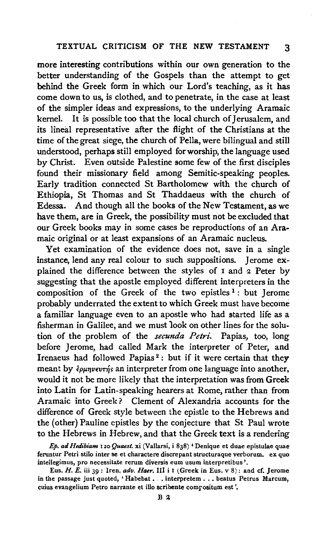# TEXTUAL CRITICISM OF THE NEW TESTAMENT 3

more interesting contributions within our own generation to the better understanding of the Gospels than the attempt to get behind the Greek form in which our Lord's teaching, as it has come down to us, is clothed, and to penetrate, in the case at least of the simpler ideas and expressions, to the underlying Aramaic kernel. It is possible too that the local church of Jerusalem, and its lineal representative after the flight of the Christians at the time of the great siege, the church of Pella, were bilingual and still understood, perhaps still employed for worship, the language used by Christ. Even outside Palestine some few of the first disciples found their missionary field among Semitic-speaking peoples. Early tradition connected St Bartholomew with the church of Ethiopia, St Thomas and St Thaddaeus with the church of Edessa. And though all the books of the New Testament, as we have them, are in Greek, the possibility must not be excluded that our Greek books may in some cases be reproductions of an Aramaic original or at least expansions of an Aramaic nucleus.

Yet examination of the evidence does not, save in a single instance, lend any real colour to such suppositions. Jerome explained the difference between the styles of 1 and 2 Peter by suggesting that the apostle employed different interpreters in the composition of the Greek of the two epistles  $1:$  but Jerome probably underrated the extent to which Greek must have become a familiar language even to an apostle who had started life as a fisherman in Galilee, and we must 1ook on other lines for the solution of the problem of the *secunda Petri.* Papias, too, long before Jerome, had called Mark the interpreter of Peter, and Irenaeus had followed Papias<sup>2</sup>: but if it were certain that they meant by  $\epsilon_{\rho\mu\eta\nu\epsilon\nu\tau\eta}$ s an interpreter from one language into another, would it not be more likely that the interpretation was from Greek into Latin for Latin-speaking hearers at Rome, rather than from Aramaic into Greek ? Clement of Alexandria accounts for the difference of Greek style between the epistle to the Hebrews and the (other) Pauline epistles by the conjecture that St Paul wrote to the Hebrews in Hebrew, and that the Greek text is a rendering

*Ep. ad Hedibiam* 120 *Quaesl.* xi (Vallarsi, i 838) 'Denique et duae epistulae quae feruntur Petri stilo inter se et charactere discrepant structuraque verborum. ex quo intellegimus, pro necessitate rerum diversis eum usum interpretibus '.

Eus. *H. E.* iii 39: Iren. *adv. Haer.* Ill i I (Greek in Eus. v 8): and cf. Jerome in the passage just quoted, 'Habebat . . interpretem . . . beatus Petrus Marcum, cuius evangelium Petro narrante et illo scribente comrositum est '.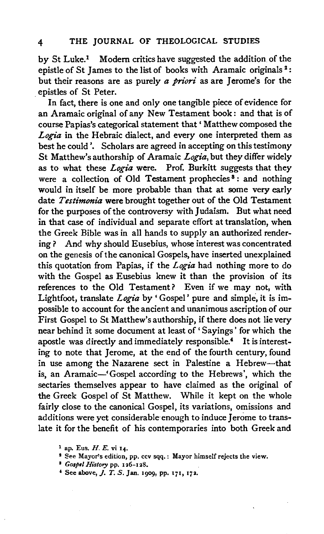by St Luke.<sup>1</sup> Modern critics have suggested the addition of the epistle of St James to the list of books with Aramaic originals<sup>2</sup>: but their reasons are as purely *a priori* as are Jerome's for the epistles of St Peter.

In fact, there is one and only one tangible piece of evidence for an Aramaic original of any New Testament book: and that is of course Papias's categorical statement that' Matthew composed the *Logia* in the Hebraic dialect, and every one interpreted them as best he could'. Scholars are agreed in accepting on this testimony St Matthew's authorship of Aramaic *Logia,* but they differ widely as to what these *Logia* were. Prof. Burkitt suggests that they were a collection of Old Testament prophecies<sup>8</sup>: and nothing would in itself be more probable than that at some very early date *Testimonia* were brought together out of the Old Testament for the purposes of the controversy with Judaism. But what need in that case of individual and separate effort at translation, when the Greek Bible was in all hands to supply an authorized rendering? And why should Eusebius, whose interest was concentrated on the genesis of the canonical Gospels, have inserted unexplained this quotation from Papias, if the *Logia* had nothing more to do with the Gospel as Eusebius knew it than the provision of its references to the Old Testament? Even if we may not, with Lightfoot, translate *Logia* by ' Gospel' pure and simple, it is impossible to account for the ancient and unanimous ascription of our First Gospel to St Matthew's authorship, if there does not lie very near behind it some document at least of ' Sayings' for which the apostle was directly and immediately responsible.• It is interesting to note that Jerome, at the end of the fourth century, found in use among the Nazarene sect in Palestine a Hebrew-that is, an Aramaic-'Gospel according to the Hebrews', which the sectaries themselves appear to have claimed as the original of the Greek Gospel of St Matthew. While it kept on the whole fairly close to the canonical Gospel, its variations, omissions and additions were yet considerable enough to induce J erome to translate it for the benefit of his contemporaries into both Greek and

<sup>1</sup> ap. Eus. *H. E.* vi 14.<br><sup>2</sup> See Mayor's edition, pp. ccv sqq. : Mayor himself rejects the view.<br><sup>2</sup> *Gospel History* pp. 126-128.

 $*$  See above,  $J.$  T. S. Jan. 1909, pp. 171, 172.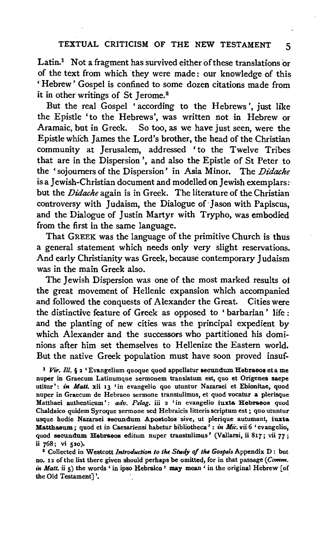# TEXTUAL CRITICISM OF THE NEW TESTAMENT 5

Latin.<sup>1</sup> Not a fragment has survived either of these translations or of the text from which ·they were made : our knowledge of this ' Hebrew ' Gospel is confined to some dozen citations made from it in other writings of St Jerome.<sup>2</sup>

But the real Gospel 'according to the Hebrews', just like the Epistle 'to the Hebrews', was written not in Hebrew or Aramaic, but in Greek. So too, as we have just seen, were the Epistle which James the Lord's brother, the head of the Christian community at Jerusalem, addressed 'to the Twelve Tribes that are in the Dispersion', and also the Epistle of St Peter to the 'sojoumers of the Dispersion' in Asia Minor. The *Didache*  is a Jewish-Christian document and modelled on Jewish exemplars: but the *Didache* again is in Greek. The literature of the Christian controversy with Judaism, the Dialogue of Jason with Papiscus, and the Dialogue of Justin Martyr with Trypho, was embodied from the first in the same language.

That GREEK was the language of the primitive Church is thus a general statement which needs only very slight reservations. And early Christianity was Greek, because contemporary Judaism was in the main Greek also.

The Jewish Dispersion was one of the most marked results of the great movement of Hellenic expansion which accompanied and followed the conquests of Alexander the Great. Cities were the distinctive feature of Greek as opposed to ' barbarian ' life : and the planting of new cities was the principal expedient by which Alexander and the successors who partitioned his dominions after him set themselves to Hellenize the Eastern world. But the native Greek population must have soon proved insuf-

<sup>1</sup> Vir. Ill. § 2 'Evangelium quoque quod appellatur secundum Hebraeos et a me nuper in Graecum Latinumque sermonem translatum est, quo et Origenes saepe utitur': in Matt. xii 13 'in evangelio quo utuntur Nazaraei et Ebionitae, quod nuper in Graecum de Hebraeo sermone transtulimus, et quod vocatur a plerisque Matthaei authenticum': adv. Pelag. iii 2 'in evangelio iuxta Hebraeos quod Chaldaico quidem Syroque sermone sed Hebraicis litteris scriptum est ; quo utuntur usque hodie Nazaraei secundum Apostolos sive, ut plerique autumant, iuxta Matthaeum; quod et in Caesariensi habetur bibliotheca': in Mic. vii 6 'evangelio, quod secundum Rebraeos editum nuper transtulimus' (Vallarsi, ii 817; vii *77;*  ii 768; vi 520).<br><sup>2</sup> Collected in Westcott *Introduction to the Study of the Gospels* Appendix D: but

no. 12 of the list there given should perhaps be omitted, for in that passage *(Comm. in Matt.* ii 5) the words ' in ipso Hebraico ' may mean ' in the original Hebrew [of the Old Testament]'.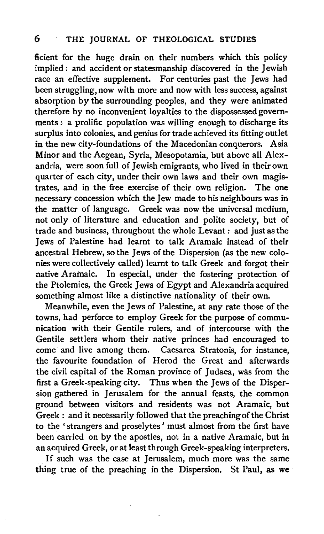ficient for the huge drain on their numbers which this policy implied : and accident or statesmanship discovered in the Jewish race an effective supplement. For centuries past the Jews had been struggling, now with more and now with less success, against absorption by the surrounding peoples, and they were animated therefore by no inconvenient loyalties to the dispossessed governments : a prolific population was willing enough to discharge its surplus into colonies, and genius for trade achieved its fitting outlet in the new city-foundations of the Macedonian conquerors. Asia Minor and the Aegean, Syria, Mesopotamia, but above all Alexandria, were soon full of Jewish emigrants, who lived in their own quarter of each city, under their own laws and their own magis-<br>trates, and in the free exercise of their own religion. The one trates, and in the free exercise of their own religion. necessary concession which the Jew made to his neighbours was in the matter of language. Greek was now the universal medium, not only of literature and education and polite society, but of trade and business, throughout the whole Levant: and just as the Jews of Palestine had learnt to talk Aramaic instead of their ancestral Hebrew, so the Jews of the Dispersion (as the new colonies were collectively called) learnt to talk Greek and forgot their native Aramaic. In especial, under the fostering protection of the Ptolemies, the Greek Jews of Egypt and Alexandria acquired something almost like a distinctive nationality of their own.

Meanwhile, even the Jews of Palestine, at any rate those of the towns, had perforce to employ Greek for the purpose of communication with their Gentile rulers, and of intercourse with the Gentile settlers whom their native princes had encouraged to come and live among them. Caesarea Stratonis, for instance, the favourite foundation of Herod the Great and afterwards the civil capital of the Roman province of Judaea, was from the first a Greek-speaking city. Thus when the Jews of the Dispersion gathered in Jerusalem for the annual feasts, the common ground between visitors and residents was not Aramaic, but Greek: and it necessarily followed that the preaching of the Christ to the 'strangers and proselytes' must almost from the first have been carried on by the apostles, not in a native Aramaic, but in an acquired Greek, or at least through Greek-speaking interpreters.

. If such was the case at Jerusalem, much more was the same thing true of the preaching in the Dispersion. St Paul, as we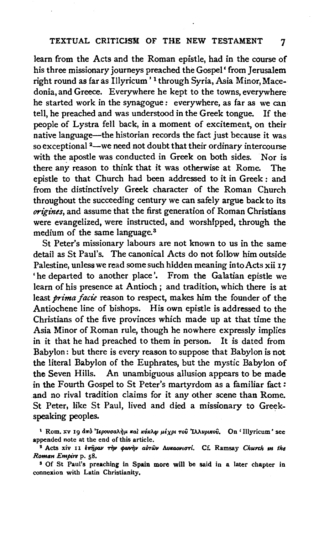learn from the Acts and the Roman epistle, had in the course of his three missionary journeys preached the Gospel' from Jerusalem right round as far as Illyricum ' 1 through Syria, Asia Minor, Macedonia, and Greece. Everywhere he kept to the towns, everywhere he started work in the synagogue : everywhere, as far as we can tell, he preached and was understood in the Greek tongue. If the people of Lystra fell back, in a moment of excitement, on their native language-the historian records the fact just because it was so exceptional <sup>2</sup>-we need not doubt that their ordinary intercourse with the apostle was conducted in Greek on both sides. Nor is there any reason to think that it was otherwise at Rome. The epistle to that Church had been addressed to it in Greek : and from the distinctively Greek character of the Roman Church throughout the succeeding century we can safely argue back to its *origines*, and assume that the first generation of Roman Christians were evangelized, were instructed, and worshipped, through the medium of the same language.<sup>3</sup>

St Peter's missionary labours are not known to us in the same detail as St Paul's. The canonical Acts do not follow him outside Palestine, unless we read some such hidden meaning into Acts xii 17 'he departed to another place'. From the Galatian epistle we learn of his presence at Antioch; and tradition, which there is at least *prima facie* reason to respect, makes him the founder of the Antiochene line of bishops. His own epistle is addressed to the Christians of the five provinces which made up at that time the Asia Minor of Roman rule, though he nowhere expressly implies in it that he had preached to them in person. It is dated from Babylon: but there is every reason to suppose that Babylon is not the literal Babylon of the Euphrates, but the mystic Babylon of the Seven Hills. An unambiguous allusion appears to be made in the Fourth Gospel to St Peter's martyrdom as a familiar fact: and no rival tradition claims for it any other scene than Rome. St Peter, like St Paul, lived and died a missionary to Greekspeaking peoples.

<sup>&</sup>lt;sup>1</sup> Rom. xv 19 από 'Ιερουσαλήμ και κύκλφ μέχρι τοῦ 'Ιλλυρικοῦ. On 'Illyricum' see appended note at the end of this article.<br><sup>2</sup> Acts xiv *II <i>επήραν* την φωνήν αὐτῶν Λυκαονιστί. Cf. Ramsay Church *m the* 

*Roman Empire* p. 58.

s Of St Paul's preaching in Spain more will be said in a later chapter in connexion with Latin Christianity.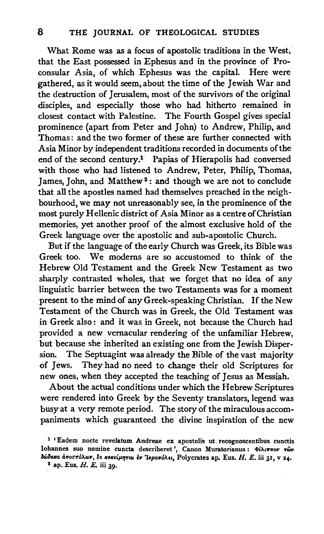What Rome was as a focus of apostolic traditions in the West, that the East possessed in Ephesus and in the province of Proconsular Asia, of which Ephesus was the capital. Here were gathered, as it would seem, about the time of the Jewish War and the destruction of Jerusalem, most of the survivors of the original disciples, and especially those who had hitherto remained in closest contact with Palestine. The Fourth Gospel gives special prominence (apart from Peter and John) to Andrew, Philip, and Thomas: and the two former of these are further connected with Asia Minor by independent traditions recorded in documents of the end of the second century.1 Papias of Hierapolis had conversed with those who had listened to Andrew, Peter, Philip, Thomas, James, John, and Matthew<sup>2</sup>: and though we are not to conclude that all the apostles named had themselves preached in the neighbourhood, we may not unreasonably see, in the prominence of the most purely Hellenic district of Asia Minor as a centre of Christian memories, yet another proof of the almost exclusive hold of the Greek language over the apostolic and sub-apostolic Church.

But if the language of the early Church was Greek, its Bible was Greek too. We modems are so accustomed to think of the Hebrew Old Testament and the Greek New Testament as two sharply contrasted wholes, that we forget that no idea of any linguistic barrier between the two Testaments was for a moment present to the mind of any Greek-speaking Christian. If the New Testament of the Church was in Greek, the Old Testament was in Greek also: and it was in Greek, not because the Church had provided a new vernacular rendering of the unfamiliar Hebrew, but because she inherited an existing one from the Jewish Dispersion. The Septuagint was already the Bible of the vast majority of Jews. They had no need to change their old Scriptures for new ones, when they accepted the teaching of Jesus as Messiah.

About the actual conditions under which the Hebrew Scriptures were rendered into Greek by the Seventy translators, legend was busy at a very remote period. The story of the miraculous accompaniments which guaranteed the divine inspiration of the new

<sup>&</sup>lt;sup>1</sup> 'Eadem nocte revelatum Andreae ex apostolis ut recognoscentibus cunctis lohannes suo nomine cuncta describeret', Canon Muratorianus:  $\Phi(\lambda t, \pi\pi o\nu, \tau\hat{\omega}\nu)$ δώδεκα αποστόλων, δε κεκοίμηται έν Ίεραπόλει, Polycrates ap. Eus. H. E. iii 31, V 24.

 $2$  ap. Eus. H. E. iii 39.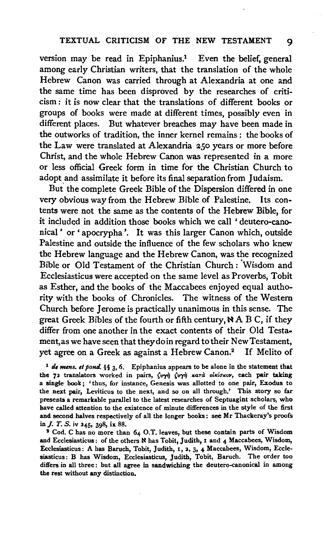#### TEXTUAL CRITICISM OF THE NEW TESTAMENT 9

version may be read in Epiphanius.<sup>1</sup> Even the belief, general among early Christian writers, that the translation of the whole Hebrew Canon was carried through at Alexandria at one and the same time has been disproved by the researches of criticism: it is now clear that the translations of different books or groups of books were made at different times, possibly even in different places. But whatever breaches may have been made in the outworks of tradition, the inner kernel remains : the books of the Law were translated at Alexandria *zso* years or more before Christ, and the whole Hebrew Canon was represented in a more or less official Greek form in time for the Christian Church to adopt and assimilate it before its final separation from Judaism.

But the complete Greek Bible of the Dispersion differed in one very obvious way from the Hebrew Bible of Palestine. Its contents were not the same as the contents of the Hebrew Bible, for it included in addition those books which we call ' deutero-canonical' or' apocrypha'. It was this larger Canon which, outside Palestine and outside the influence of the few scholars who knew the Hebrew language and the Hebrew Canon, was the recognized Bible or Old Testament of the Christian Church : Wisdom and Ecclesiasticus were accepted on the same level as Proverbs, Tobit as Esther, and the books of the Maccabees enjoyed equal authority with the books of Chronicles. The witness of the Western Church before Jerome is practically unanimous in this sense. The great Greek Bibles of the fourth or fifth century,  $NAB C$ , if they differ from one another in the exact contents of their Old Testament,as we have seen that they do in regard to their New Testament, yet agree on a Greek as against a Hebrew Canon.<sup>2</sup> If Melito of

<sup>1</sup> de mens. et pond. §§ 3, 6. Epiphanius appears to be alone in the statement that the 72 translators worked in pairs,  $\langle v \gamma \eta \rangle$   $\langle v \gamma \eta \rangle$   $\kappa$ ard olkiokov, each pair taking a single book; ' thus, for instance, Genesis was allotted to one pair, Exodus to the next pair, Leviticus to the next, and so on all through.' This story so far presents a remarkable parallel to the latest researches of Septuagint scholars, who have called attention to the existence of minute differences in the style of the first and second halves respectively of all the longer books: see Mr Thackeray's proofs in J. T. S. iv 245, 398, ix 88. 1 Cod. C has no more than  $64$  O.T. leaves, but these contain parts of Wisdom

and Ecclesiasticus: of the others N has Tobit, Judith, 1 and 4 Maccabees, Wisdom, Ecclesiasticus: A has Baruch, Tobit, Judith, 1, 2, 3, 4 Maccabees, Wisdom, Ecclesiasticus: B has Wisdom, Ecclesiasticus, Judith, Tobit, Baruch. The order too differs in all three: but all agree in sandwiching the deutero-canonical in among the rest without any distinction.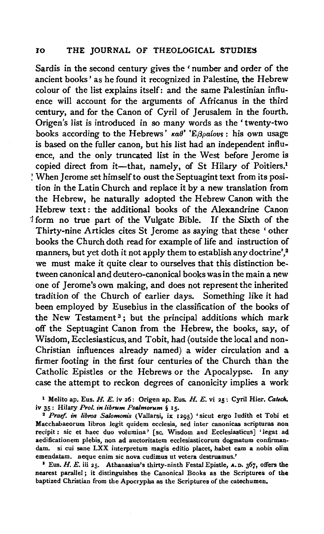Sardis in the second century gives the 'number and order of the ancient books' as he found it recognized in Palestine, the Hebrew colour of the list explains itself: and the same Palestinian influence will account for the arguments of Africanus in the third century, and for the Canon of Cyril of Jerusalem in the fourth. Origen's list is introduced in so many words as the' twenty-two books according to the Hebrews'  $\kappa a\theta$ ' 'E $\beta\rho a$ lovs : his own usage is based on the fuller canon, but his list had an independent influence, and the only truncated list in the West before Jerome is copied direct from it-that, namely, of St Hilary of Poitiers.<sup>1</sup> ! When Jerome set himself to oust the Septuagint text from its position in the Latin Church and replace it by a new translation from the Hebrew, he naturally adopted the Hebrew Canon with the Hebrew text: the additional books of the Alexandrine Canon <sup>1</sup>form no true part of the Vulgate Bible. If the Sixth of the Thirty-nine Articles cites St Jerome as saying that these 'other books the Church doth read for example of life and instruction of manners, but yet doth it not apply them to establish any doctrine',<sup>2</sup> we must make it quite clear to ourselves that this distinction between canonical and deutero-canonical books was in the main a new one of Jerome's own making, and does not represent the inherited tradition of the Church of earlier days. Something like it had been employed by Eusebius in the classification of the books of the New Testament<sup>3</sup>; but the principal additions which mark off the Septuagint Canon from the Hebrew, the books, say, of Wisdom, Ecclesiasticus, and Tobit, had (outside the local and non-Christian influences already named) a wider circulation and a firmer footing in the first four centuries of the Church than the Catholic Epistles or the Hebrews or the Apocalypse. In any case the attempt to reckon degrees of canonicity implies a work

1 Melito ap. Eus. *H. E.* iv 26: Origen ap. Eus. *H. E.* vi 25 : Cyril Hier. *Cauch.*  iv 35: Hilary *Prol. in librum Psalmorum* § 15.<br><sup>2</sup> Praef. in libros Salomonis (Vallarsi, ix 1295) 'sicut ergo Iudith et Tobi et

Macchabaeorum libros legit quidem ecclesia, sed inter canonicas scripturas non recipit : sic et haec duo volumina' [sc. Wisdom and Ecclesiasticus] 'legat ad aedificationem plebis, non ad auctoritatem ecclesiasticorum dogmatum confirmandam. si cui sane LXX interpretum magis editio placet, habet eam a nobis olim emendatam. neque enim sic nova cudimus ut vetera destruamus.'

<sup>2</sup> Eus. H. E. iii 25. Athanasius's thirty-ninth Festal Epistle, A. D. 367, offers the nearest parallel ; it distinguishes the Canonical Books as the Scriptures of the baptized Christian from the Apocrypha as the Scriptures of the catechumen.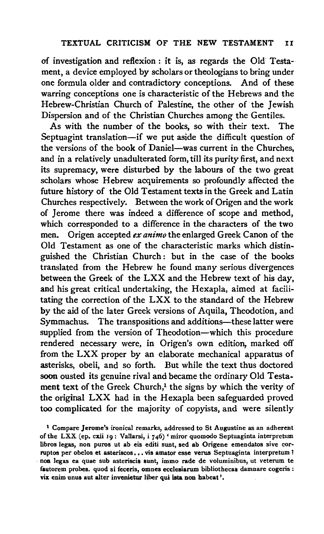of investigation and reflexion: it is, as regards the Old Testament, a device employed by scholars or theologians to bring under one formula older and contradictory conceptions. And of these warring conceptions one is characteristic of the Hebrews and the Hebrew-Christian Church of Palestine, the other of the Jewish Dispersion and of the Christian Churches among the Gentiles.

As with the number of the books, so with their text. The Septuagint translation-if we put aside the difficult question of the versions of the book of Daniel-was current in the Churches, and in a relatively unadulterated form, till its purity first, and next its supremacy, were disturbed by the labours of the two great scholars whose Hebrew acquirements so profoundly affected the future history of the Old Testament texts in the Greek and Latin Churches respectively. Between the work of Origen and the work of Jerome there was indeed a difference of scope and method, which corresponded to a difference in the characters of the two men. Origen accepted *ex animo* the enlarged Greek Canon of the Old Testament as one of the characteristic marks which distinguished the Christian Church: but in the case of the books translated from the Hebrew he found many serious divergences between the Greek of the LXX and the Hebrew text of his day, and his great critical undertaking, the Hexapla, aimed at facilitating the correction of the LXX to the standard of the Hebrew by the aid of the later Greek versions of Aquila, Theodotion, and Symmachus. The transpositions and additions-these latter were supplied from the version of Theodotion-which this procedure rendered necessary were, in Origen's own edition, marked off from the LXX proper by an elaborate mechanical apparatus of asterisks, obeli, and so forth. But while the text thus doctored soon ousted its genuine rival and became the ordinary Old Testament text of the Greek Church,<sup>1</sup> the signs by which the verity of the original LXX had in the Hexapla been safeguarded proved too complicated for the majority of copyists, and were silently

<sup>1</sup> Compare Jerome's ironical remarks, addressed to St Augustine as an adherent of the LXX (ep. cxii 19: Vallarsi, i 746) 'miror quomodo Septuaginta interpretum libros legas, non puros ut ab eis editi sunt, sed ab Origene emendatos sive corruptos per obelos et asteriscos... vis amator esse verus Septuaginta interpretum? · non legas ea quae sub asteriscis sunt, immo rade de voluminibus, ut veterum te fautorem probes. quod si feceris, omnes ecclesiarum bibliothecas damnare cogeris : vix enim unus aut alter invenietur liber qui ista non habeat '.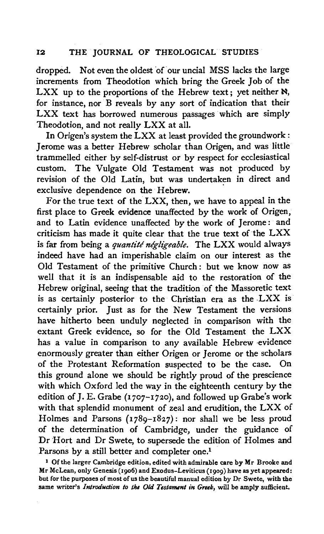dropped. Not even the oldest of our uncial MSS lacks the large increments from Theodotion which bring the Greek Job of the LXX up to the proportions of the Hebrew text; yet neither  $\aleph$ , for instance, nor B reveals by any sort of indication that their LXX text has borrowed numerous passages which are simply Theodotion, and not really LXX at all.

In Origen's system the LXX at least provided the groundwork : Jerome was a better Hebrew scholar than Origen, and was little trammelled either by self-distrust or by respect for ecclesiastical custom. The Vulgate Old Testament was not produced by revision of the Old Latin, but was undertaken in direct and exclusive dependence on the Hebrew.

For the true text of the LXX, then, we have to appeal in the first place to Greek evidence unaffected by the work of Origen, and to Latin evidence unaffected by the work of Jerome: and criticism has made it quite clear that the true text of the LXX is far from being a *quantité négligeable*. The LXX would always indeed have had an imperishable claim on our interest as the Old Testament of the primitive Church: but we know now as well that it is an indispensable aid to the restoration of the Hebrew original, seeing that the tradition of the Massoretic text is as certainly posterior to the Christian era as the LXX is certainly prior. Just as for the New Testament the versions have hitherto been unduly neglected in comparison with the extant Greek evidence, so for the Old Testament the LXX has a value in comparison to any available Hebrew evidence enormously greater than either Origen or Jerome or the scholars of the Protestant Reformation suspected to be the case. On this ground alone we should be rightly proud of the prescience with which Oxford led the way in the eighteenth century by the edition of J. E. Grabe (1707-1720), and followed up Grabe's work with that splendid monument of zeal and erudition, the LXX of Holmes and Parsons (1789-1827): nor shall we be less proud of the determination of Cambridge, under the guidance of Dr Hort and Dr Swete, to supersede the edition of Holmes and Parsons by a still better and completer one.<sup>1</sup>

<sup>1</sup>Of the larger Cambridge edition, edited with admirable care by Mr Brooke and Mr McLean, only Genesis (1906) and Exodus-Leviticus (1909) have as yet appeared: but for the purposes of most of us the beautiful manual edition by Dr Swete, with the same writer's *Introduction to the Old Testament in Greek,* will be amply sufficient.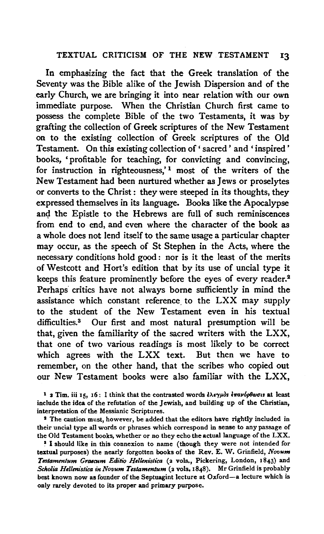#### TEXTUAL CRITICISM OF THE NEW TESTAMENT 13

In emphasizing the fact that the Greek translation of the Seventy was the Bible alike of the Jewish Dispersion and of the early Church, we are bringing it into near relation with our own immediate purpose. When the Christian Church first came to possess the complete Bible of the two Testaments, it was by grafting the collection of Greek scriptures of the New Testament on to the existing collection of Greek scriptures of the Old Testament. On this existing collection of 'sacred' and 'inspired' books, 'profitable for teaching, for convicting and convincing, for instruction in righteousness,<sup>'1</sup> most of the writers of the New Testament had been nurtured whether as Jews or proselytes or converts to the Christ : they were steeped in. its thoughts, they expressed themselves in its language. Books like the Apocalypse and the Epistle to the Hebrews are full of such reminiscences from end to end, and even where the character of the book as a whole does not lend itself to the same usage a particular chapter may occur, as the speech of St Stephen in the Acts, where the necessary conditions hold good : nor is it the least of the merits of Westcott and Hort's edition that by its use of uncial type it keeps this feature prominently before the eyes of every reader.<sup>2</sup> Perhaps critics have not always borne sufficiently in mind the assistance which constant reference to the LXX may supply to the student of the New Testament even in his textual difficulties.3 Our first and most natural presumption will be that, given the familiarity of the sacred writers with the LXX, that one of two various readings is most likely to be correct which agrees with the LXX text. But then we have to remember, on the other hand, that the scribes who copied out our New Testament books were also familiar with the LXX,

<sup>3</sup> I should like in this connexion to name (though they were not intended for textual purposes) the nearly forgotten books of the Rev. E. W. Grinfield, *Novum*  Testamentum Graecum Editio Hellenistica (2 vols., Pickering, London, 1843) and *Scltolia Hellmistica in Novum Testamentum* (2 vols, 1848). Mr Grinfield is probably best known now as founder of the Septuagint lecture at Oxford-a lecture which is only rarely devoted to its proper and primary purpose.

<sup>&</sup>lt;sup>1</sup> 2 Tim. iii 15, 16: I think that the contrasted words *ελεγμόs επανόρθωσιs* at least include the idea of the refutation of the Jewish, and building up of the Christian, interpretation of the Messianic Scriptures.

<sup>&</sup>lt;sup>2</sup> The caution must, however, be added that the editors have rightly included in their uncial type all words or phrases which correspond in sense to any passage of the Old Testament books, whether or no they echo the actual language of the LXX.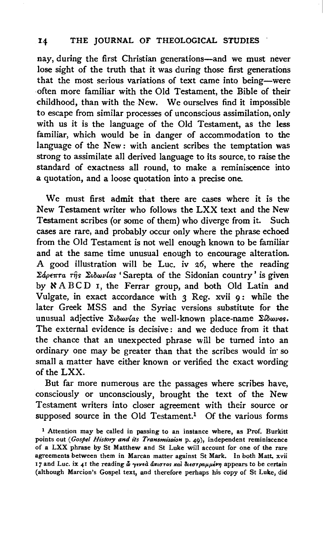### 14 THE JOURNAL OF THEOLOGICAL STUDIES

nay, during the first Christian generations-and we must never lose sight of the truth that it was during those first generations that the most serious variations of text came into being-were ·Often more familiar with the Old Testament, the Bible of their childhood, than with the New. We ourselves find it impossible to escape from similar processes of unconscious assimilation, only with us it is the language of the Old Testament, as the less familiar, which would be in danger of accommodation to the language of the New: with ancient scribes the temptation was strong to assimilate all derived language to its source, to raise the standard of exactness all round, to make a reminiscence into a quotation, and a loose quotation into a precise one.

We must first admit that there are cases where it is the New Testament writer who follows the LXX text and the New Testament scribes (or some of them) who diverge from it. Such cases are rare, and probably occur only where the phrase echoed from the Old Testament is not well enough known to be familiar and at the same time unusual enough to encourage alteration. A good illustration will be Luc. iv 26, where the reading *Σάρεπτα της Σιδωνίας* 'Sarepta of the Sidonian country' is given by  $\mathbb{R}$  ABCD I, the Ferrar group, and both Old Latin and Vulgate, in exact accordance with 3 Reg. xvii 9: while the later Greek MSS and the Syriac versions substitute for the unusual adjective Σιδωνίαs the well-known place-name Σίδωνος. The external evidence is decisive: and we deduce from it that the chance that an unexpected phrase will be turned into an ordinary one may be greater than that the scribes would in· so small a matter have either known or verified the exact wording of the LXX.

But far more numerous are the passages where scribes have, consciously or unconsciously, brought the text of the New Testament writers into closer agreement with their source or supposed source in the Old Testament.<sup>1</sup> Of the various forms

<sup>1</sup> Attention may be called in passing to an instance where, as Prof. Burkitt points out *(Gospel History and its Transmission* p. 49), independent reminiscence of a LXX phrase by St Matthew and St Luke will account for one of the rare agreements between them in Marcan matter against St Mark. In both Matt. xvii 17 and Luc. ix 41 the reading  $\tilde{\omega}$  yeved anotos kal dieorpapper appears to be certain (although Marcion's Gospel text, and therefore perhaps his copy of St Luke, did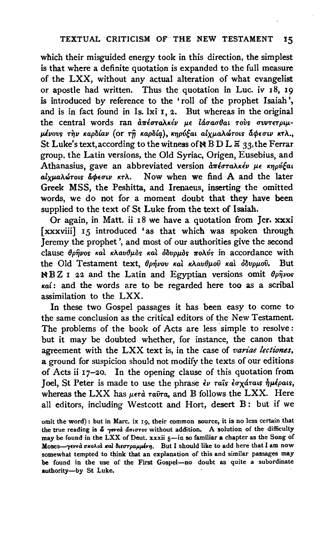which their misguided energy took in this direction, the simplest is that where a definite quotation is expanded to the full measure of the LXX, without any actual alteration of what evangelist or apostle had written. Thus the quotation in Luc. iv 18, I9 is introduced by reference to the 'roll of the prophet Isaiah', and is in fact found in Is. lxi I, 2. But whereas in the original the central words ran απέσταλκέν με *lάσασθαι τούς συντετριμ-* $\mu$ ένους την καρδίαν (or τη καρδία), κηρύξαι αίχμαλώτοις άφεσιν κτλ., St Luke's text, according to the witness of  $\aleph$  B D L  $\Xi$  33, the Ferrar group, the Latin versions, the Old Syriac, Origen, Eusebius, and Athanasius, gave an abbreviated version απέσταλκέν με κηρύξαι alyua $\lambda$ ώτοις άφεσιν κτλ. Now when we find A and the later Greek MSS, the Peshitta, and Irenaeus, inserting the omitted words, we do not for a moment doubt that they have been supplied to the text of St Luke from the text of Isaiah.

Or again, in Matt. ii 18 we have a quotation from Jer. xxxi [xxxviii] 15 introduced 'as that which was spoken through Jeremy the prophet', and most of our authorities give the second clause θρήνος και κλαυθμός και *δ*δυρμός πολύς in accordance with the Old Testament text, θρήνου και κλαυθμού και οδυρμού. But NB Z I 22 and the Latin and Egyptian versions omit *8pijvos Kal:* and the words are to be regarded here too as a scribal assimilation to the LXX.

In these two Gospel passages it has been easy to come to the same conclusion as the critical editors of the New Testament. The problems of the book of Acts are less simple to resolve: but it may be doubted whether, for instance, the canon that agreement with the LXX text is, in the case of *variae lectiones*, a ground for suspicion should not modify the texts of our editions of Acts ii 17-20. In the opening clause of this quotation from Joel, St Peter is made to use the phrase  $\epsilon \nu$  raîs  $\epsilon \sigma x$ drais  $\eta \mu \epsilon \rho a$ is, whereas the LXX has  $\mu \epsilon \tau \hat{a}$   $\tau a\hat{v}\tau a$ , and B follows the LXX. Here all editors, including Westcott and Hort, desert B: but if we

omit the word): but in Marc. ix 19, their common source, it is no less certain that the true reading is  $\tilde{\omega}$  yeved anoros without addition. A solution of the difficulty may be found in the LXX of Deut. xxxii 5-in so familiar a chapter as the Song of Moses-yeved σκολιά και διεστραμμένη. But I should like to add here that I am now somewhat tempted to think that an explanation of this and similar passages may be found in the use of the First Gospel-no doubt as quite a subordinate authority-by St Luke.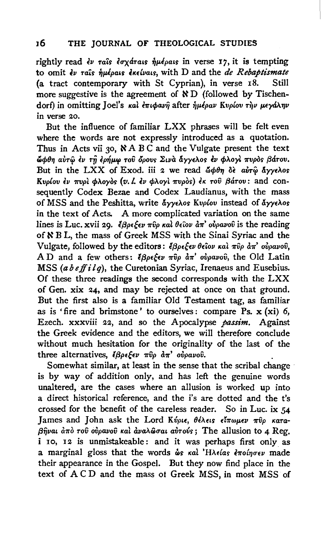rightly read  $\epsilon \nu$  rais  $\epsilon \sigma \chi$ drais  $\dot{\eta} \mu \epsilon \rho$ ais in verse 17, it is tempting to omit  $\epsilon$ v rais *nukoals*  $\epsilon$ *k* $\epsilon$ *ivals*, with D and the *de Rebaptismate* (a tract contemporary with St Cyprian), in verse 18. Still more suggestive is the agreement of  $R$  D (followed by Tischendorf) in omitting Joel's και επιφανή after ήμέραν Κυρίου την μεγάλην in verse 20.

But the influence of familiar LXX phrases will be felt even where the words are not expressly introduced as a quotation. Thus in Acts vii 30,  $\aleph$  A B C and the Vulgate present the text ώφθη αύτω έν τη έρήμω του δρους Σινα άγγελος έν φλογί πυρος βάτου. But in the LXX of Exod. iii 2 we read  $\phi \theta \eta$  of air $\hat{\phi}$  ayy $\epsilon \lambda$ os Kvplov  $\epsilon\nu$  πυρί φλογός (v. l.  $\epsilon\nu$  φλογί πυρός)  $\epsilon\kappa$  του βάτου: and consequently Codex Bezae and Codex Laudianus, with the mass of MSS and the Peshitta, write άγγελος Κυρίου instead of άγγελος in the text of Acts. A more complicated variation on the same lines is Luc. xvii 29. *k*  $\beta \rho \epsilon \xi \epsilon \nu \pi \hat{v} \rho$  *kal*  $\theta \epsilon \hat{i} \omega \rho \hat{i} \sigma \sigma \hat{v} \rho \alpha \nu \hat{v} \hat{v}$  *is the reading* of & B L, the mass of Greek MSS with the Sinai Syriac and the Vulgate, followed by the editors:  $\frac{2}{3}$  $\beta \rho \epsilon \frac{1}{2}$   $\epsilon \nu \theta \epsilon$  iov kal  $\pi \hat{v}$   $\rho$   $d\pi$ ' ovpavoi, AD and a few others:  $\ell \beta \rho \epsilon \xi \epsilon \nu \pi \hat{v} \rho \, d\pi' \, o \hat{v} \rho \alpha \nu o \hat{v}$ , the Old Latin MSS (a b e ff i lq), the Curetonian Syriac, Irenaeus and Eusebius. Of these three readings the second corresponds with the LXX of Gen. xix 24, and may be rejected at once on that ground. But the first also is a familiar Old Testament tag, as familiar as is 'fire and brimstone' to ourselves: compare Ps.  $x (xi)$  6, Ezech. xxxviii 22, and so the Apocalypse *passim.* Against the Greek evidence and the editors, we will therefore conclude without much hesitation for the originality of the last of the three alternatives,  $\zeta \beta \rho \epsilon \xi \epsilon \nu \pi \hat{v} \rho \frac{d \pi'}{d \pi}$  ovpavov.

Somewhat similar, at least in the sense that the scribal change is by way of addition only, and has left the genuine words unaltered, are the cases where an allusion is worked up into a direct historical reference, and the i's are dotted and the t's crossed for the benefit of the careless reader. So in Luc. ix *54*  James and John ask the Lord Κύριε, θέλεις είπωμεν πύρ κατα- $\beta\hat{\eta}$ vat and rov ovpavov kai ava $\lambda\hat{\omega}$ rat avrovs; The allusion to 4 Reg. i 10, 12 is unmistakeable: and it was perhaps first only as a marginal gloss that the words  $\omega$ s kal 'HA $\epsilon$ las  $\epsilon \pi o$ ino $\epsilon \nu$  made their appearance in the Gospel. But they now find place in the text of A CD and the mass of Greek MSS, in most MSS of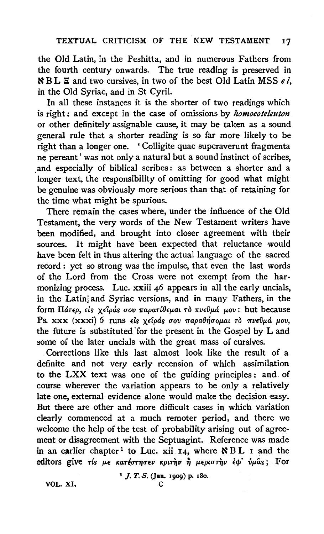the Old Latin, in the Peshitta, and in numerous Fathers from the fourth century onwards. The true reading is preserved in  $RBL \nsubseteq$  and two cursives, in two of the best Old Latin MSS *el*, in the Old Syriac, and in St Cyril.

In all these instances it is the shorter of two readings which is right : and except in the case of omissions by *lwmoeoteleuton*  or other definitely assignable cause, it may be taken as a sound general rule that a shorter reading is so far more likely to be right than a longer one. ' Colligite quae superaverunt fragmenta ne pereant' was not only a natural but a sound instinct of scribes, and especially of biblical scribes: as between a shorter and a longer text, the responsibility of omitting for good what might be genuine was obviously more serious than that of retaining for the time what might be spurious.

There remain the cases where, under the influence of the Old Testament, the very words of the New Testament writers have been modified, and brought into closer agreement with their sources. It might have been expected that reluctance would have been felt in thus altering the actual language of the sacred record: yet so strong was the impulse, that even the last words of the Lord from the Cross were not exempt from the harmonizing process. Luc. xxiii 46 appears in all the early uncials, in the Latin' and Syriac versions, and in many Fathers, in the form  $\Pi$ *drep*,  $\epsilon$ *is*  $\chi$ *εîpas σου παρατίθεμαι τὸ πνεῦμά μου*: but because Ps. xxx (xxxi) 6 runs είς χείράς σου παραθήσομαι το πνεύμά μου, the future is substituted for the present in the Gospel by L and some of the later uncials with the great mass of cursives.

Corrections like this last almost look like the result of a definite and not very early recension of which assimilation to the LXX text was one of the guiding principles : and of course wherever the variation appears to be only a relatively late one, external evidence alone would make the decision easy. But there are other and more difficult cases in which variation clearly commenced at a much remoter period, and there we welcome the help of the test of probability arising out of agreement or disagreement with the Septuagint. Reference was made in an earlier chapter<sup>1</sup> to Luc. xii 14, where  $\aleph$  BL I and the editors give τίς με κατέστησεν κριτήν ή μεριστήν έφ' ύμας; For

1 *j.* T. S. (Jan. 1909) p. 18o.

VOL. XI. c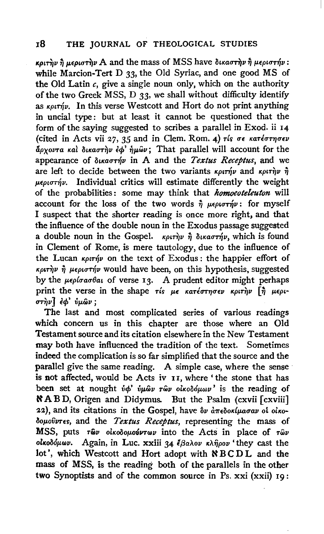# 18 THE JOURNAL OF THEOLOGICAL STUDIES

κριτην η μεριστην A and the mass of MSS have δικαστην η μεριστήν: while Marcion-Tert D *33,* the Old Syriac, and one good MS of the Old Latin *c,* give a single noun only, which on the authority of the two Greek MSS, D *33,* we shall without difficulty identify as  $\kappa \rho \iota \tau \nvert \nvert \rho$ . In this verse Westcott and Hort do not print anything in uncial type: but at least it cannot be questioned that the form of the saying suggested to scribes a parallel in Exod. ii 14 (cited in Acts vii 27, 35 and in Clem. Rom. 4)  $\tau$ *is*  $\sigma \epsilon$  *karéornosv*  $\phi_{\text{A}}$  and  $\phi_{\text{B}}$   $\phi_{\text{B}}$  and  $\phi_{\text{B}}$  and  $\phi_{\text{B}}$ . That parallel will account for the appearance of  $\delta_{\mu\alpha\sigma\tau\eta\nu}$  in A and the *Textus Receptus*, and we are left to decide between the two variants  $\kappa \rho \iota r \hat{\eta} \nu$  and  $\kappa \rho \iota r \hat{\eta} \nu \hat{\eta}$  $\mu\epsilon\rho\iota\sigma\tau\acute{\eta}\nu$ . Individual critics will estimate differently the weight of the probabilities : some may think that *homoeoteleuton* will account for the loss of the two words  $\hat{n}$  *u* $\epsilon \rho \omega \sigma \tau \hat{n} \nu$ : for myself I suspect that the shorter reading is once more right, and that the influence of the double noun in the Exodus passage suggested a double noun in the Gospel.  $\kappa \rho \iota \vec{v}$   $\hat{\eta}$   $\delta \iota \kappa \alpha \sigma \vec{v}$ , which is found in Clement of Rome, is mere tautology, due to the influence of the Lucan  $\kappa \rho \iota \tau \nrightarrow v$  on the text of Exodus: the happier effort of  $\kappa \rho \tau \gamma \gamma \eta \mu \epsilon \rho \nu \sigma \tau \gamma \nu$  would have been, on this hypothesis, suggested by the  $\mu\epsilon\rho$ loaotal of verse 13. A prudent editor might perhaps print the verse in the shape ris  $\mu \epsilon$  κατέστησεν κριτην  $[\hat{\eta}]$   $\mu \epsilon \rho_1$ - $\sigma$ *την*] *έφ' ύμ*ων;

The last and most complicated series of various readings which concern us in this chapter are those where an Old Testament source and its citation elsewhere in the New Testament may both have influenced the tradition of the text. Sometimes indeed the complication is so far simplified that the source and the parallel give the same reading. A simple case, where the sense is not affected, would be Acts iv II, where' the stone that has been set at nought  $\dot{v}\phi'$   $\dot{v}\mu\hat{\omega}\nu$  r $\hat{\omega}\nu$  olkolo $\dot{\omega}\nu\omega\nu'$  is the reading of NAB D, Origen and Didymus. But the Psalm (cxvii [ cxviii] 22), and its citations in the Gospel, have  $\delta\nu$   $d\pi\epsilon\delta$ okluavav ol olko*δομοῦντες*, and the *Textus Receptus*, representing the mass of MSS, puts  $\tau \hat{\omega} \nu$  olkooouovv $\nu \nu$  into the Acts in place of  $\tau \hat{\omega} \nu$  $o$ κοδόμων. Again, in Luc. xxiii 34 έβαλον κλήρον 'they cast the lot', which Westcott and Hort adopt with NBCDL and the mass of MSS, is the reading both of the parallels in the other two Synoptists and of the common source in Ps. xxi (xxii) 19: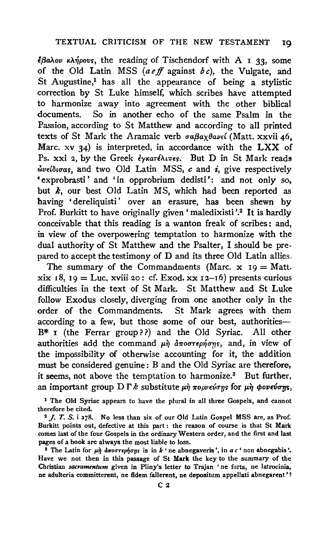$\epsilon \beta a \lambda o \nu$   $\kappa \lambda \eta \rho o \nu s$ , the reading of Tischendorf with A I 33, some of the Old Latin MSS *(aeff* against *be),* the Vulgate, and St Augustine,<sup>1</sup> has all the appearance of being a stylistic correction by St Luke himself, which scribes have attempted to harmonize away into agreement with the other biblical documents. So in another echo of the same Psalm in the Passion, according to St Matthew and according to all printed texts of St Mark the Aramaic verb  $\sigma a\beta a\chi\theta a\nu\epsilon\ell$  (Matt. xxvii 46, Marc.  $xy$  34) is interpreted, in accordance with the LXX of Ps. xxi 2, by the Greek *εγκατέλιπες*. But D in St Mark reads *&!vE(lituas,* and two Old Latin MSS, *c* and *i,* give respectively 'exprobrasti ' and 'in opprobrium dedisti': and not only so, but  $k$ , our best Old Latin MS, which had been reported as having 'dereliquisti' over an erasure, has been shewn by Prof. Burkitt to have originally given 'maledixisti'.<sup>2</sup> It is hardly conceivable that this reading is a wanton freak of scribes : and, in view of the overpowering temptation to harmonize with the dual authority of St Matthew and the Psalter, I should be prepared to accept the testimony of D and its three Old Latin allies.

The summary of the Commandments (Marc.  $x \mid 19 = \text{Matt.}$ xix 18, 19 = Luc. xviii 20: cf. Exod. xx 12-16) presents curious difficulties in the text of St Mark. St Matthew and St Luke follow Exodus closely, diverging from one another only in the order of the Commandments. St Mark agrees with them according to a few, but those some of our best, authorities-B\* I (the Ferrar group??) and the Old Syriac. All other authorities add the command  $\mu \dot{\eta}$   $d\pi$ oo $\tau \epsilon \rho \dot{\eta}$ ongs, and, in view of the impossibility of otherwise accounting for it, the addition must be considered genuine: B and the Old Syriac are therefore, it seems, not above the temptation to harmonize.<sup>3</sup> But further, an important group  $\mathbf{D} \Gamma k$  substitute  $\mu \dot{\eta}$   $\pi$ *opveions* for  $\mu \dot{\eta}$  *φoveions,* 

1 The Old Syriac appears to have the plural in all three Gospels, and cannot therefore be cited.<br><sup>2</sup> *J. T. S.* i 278. No less than six of our Old Latin Gospel MSS are, as Prof.

Burkitt points out, defective at this part : the reason of course is that St Mark comes last of the four Gospels in the ordinary Western order, and the first and last pages of a book are always the most liable to loss.<br><sup>3</sup> The Latin for  $\mu\dot{\eta}$  d<del>u</del>oortephons is in *k* ' ne abnegaveris', in *a c* ' non abnegabis'.

Have we not then in this passage of St Mark the key to the summary of the Christian *sacramentum* given in Pliny's letter to Trajan 'ne furta, ne latrocinia, ne adulteria committerent, ne fidem fallerent, ne depositum appellati abnegarent' 1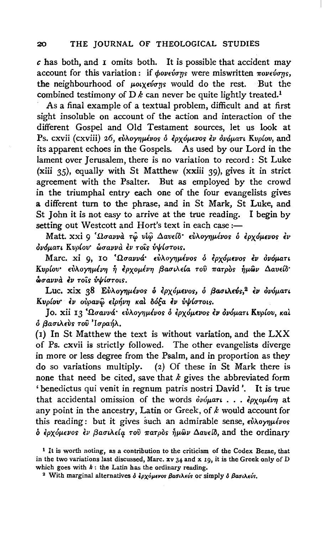*c* has both, and I omits both. It is possible that accident may account for this variation: if  $\phi$ oveύσης were miswritten πονεύσης, the neighbourhood of  $\mu$ olxevons would do the rest. But the combined testimony of  $D \, k$  can never be quite lightly treated.<sup>1</sup>

As a final example of a textual problem, difficult and at first sight insoluble on account of the action and interaction of the different Gospel and Old Testament sources, let us look at Ps. cxvii (cxviii) 26, *εύλογημένοs δ ερχόμενοs εν δνόματι Κυρίου*, and its apparent echoes in the Gospels. As used by our Lord in the lament over Jerusalem, there is no variation to record: St Luke (xiii 35), equally with St Matthew (xxiii 39), gives it in strict agreement with the Psalter. But as employed by the crowd in the triumphal entry each one of the four evangelists gives a different tum to the phrase, and in St Mark, St Luke, and St John it is not easy to arrive at the true reading. I begin by setting out Westcott and Hort's text in each case:-

Matt. xxi 9 <sup>'</sup>Ωσαννα τώ νίω Δανείδ' εύλογημένος ο ερχόμενος εν  $\delta$ νόματι Κυρίου<sup>·</sup> ώσαννα εν τοίς υψίστοις.

Marc. xi 9, 10 'Ωσαννά εύλογημένος ο έρχόμενος έν ονόματι Kvpίου· εύλογημένη ή έρχομένη βασιλεία του πατρός ήμων Δαυείδ·  $\delta$ *uavva iv* rois *v*/*iurous.* 

Luc. xix 38 Εύλογημένοs ο έρχόμενοs, ο βασιλεύς,<sup>2</sup> εν ονόματι *Kvplov εν ούρανω* είρήνη και δόξα εν ύψίστοις.

Jo. xii 13 'Ωσαννά· εύλογημένοs δ έρχόμενοs έν δνόματι Κυρίου, και *6* fiauLAEVS *TOV* 'Iupa~A.

(1) In St Matthew the text is without variation, and the LXX of Ps. cxvii is strictly followed. The other evangelists diverge in more or less degree from the Psalm, and in proportion as they do so variations multiply. (2) Of these in St Mark there is none that need be cited, save that *k* gives the abbreviated form 'benedictus qui venit in regnum patris nostri David '. It is true that accidental omission of the words *δνόματι* . . . ερχομένη at any point in the ancestry, Latin or Greek, of *k* would account for this reading: but it gives such an admirable sense,  $\epsilon \dot{\nu} \lambda o \gamma \mu \epsilon \nu o s$  $\delta$  *έρχόμενος εν βασιλεία του πατρ*ός ήμων Δανείδ, and the ordinary

<sup>1</sup> It is worth noting, as a contribution to the criticism of the Codex Bezae, that in the two variations last discussed, Marc.  $xv$  34 and x 19, it is the Greek only of D which goes with *k* : the Latin has the ordinary reading.<br><sup>2</sup> With marginal alternatives  $\delta \dot{\epsilon} \rho \chi \phi \mu \epsilon \nu \sigma s \beta \alpha \sigma \lambda \epsilon \nu \delta s$  or simply  $\delta \beta \alpha \sigma \lambda \epsilon \nu \delta s$ .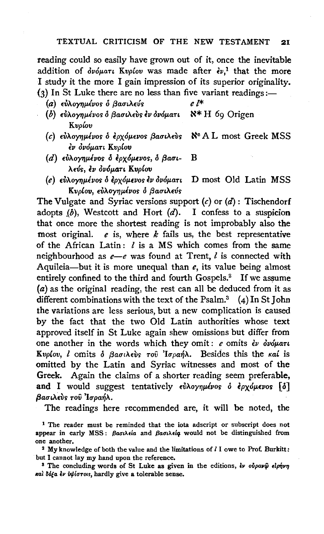reading could so easily have grown out of it, once the inevitable addition of  $\partial \nu \partial \mu$ art Kvpiov was made after  $\partial v$ ,<sup>1</sup> that the more I study it the more I gain impression of its superior originality.  $(3)$  In St Luke there are no less than five variant readings:-

- (a) εύλογημένος ο βασιλεύς *ει\** 
	-
- (b) εύλογημένος δ βασιλεύς έν δνόματι N<sup>\*</sup> H 69 Origen Kvp{ov
- (c)  $\epsilon$ υλογημένος ο ερχόμενος βασιλεύς  $\aleph$ <sup>c</sup> A L most Greek MSS εν δνόματι Κυρίου
- (d)  $\epsilon\dot{\nu}$ λογημένος ο έρχόμενος, ο βασι- Β λεύς, εν ονόματι Κυρίου
- (e)  $\epsilon\dot{\nu}$ λογημένοs ο έρχόμενοs εν ονόματι D most Old Latin MSS Kvρίου, εύλογημένος ο βασιλεύς

The Vulgate and Syriac versions support  $(c)$  or  $(d)$ : Tischendorf adopts  $(b)$ , Westcott and Hort  $(d)$ . I confess to a suspicion that once more the shortest reading is not improbably also the most original. *e* is, where *k* fails us, the best representative of the African Latin: *l* is a MS which comes from the same neighbourhood as  $e-e$  was found at Trent,  $l$  is connected with Aquileia-but it is more unequal than *e,* its value being almost entirely confined to the third and fourth Gospels.<sup>2</sup> If we assume  $(a)$  as the original reading, the rest can all be deduced from it as different combinations with the text of the Psalm.<sup>3</sup>  $(4)$  In St John the variations are less serious, but a new complication is caused by the fact that the two Old Latin authorities whose text approved itself in St Luke again shew omissions but differ from one another in the words which they omit: *e* omits  $\epsilon v$   $\delta v \delta \mu$ aru Kvplov, l omits  $\delta$  βασιλεύς του 'Ισραήλ. Besides this the καί is omitted by the Latin and Syriac witnesses and most of the Greek. Again the claims of a shorter reading seem preferable, and I would suggest tentatively  $\epsilon \hat{v} \lambda o \gamma \eta \mu \epsilon \nu o s$   $\epsilon \rho \gamma o \mu \epsilon \nu o s$  [  $\delta$ ] βασιλεύς του Ίσραήλ.

The readings here recommended are, it will be noted, the

<sup>1</sup> The reader must be reminded that the iota adscript or subscript does not appear in early MSS: βασιλεία and βασιλεία would not be distinguished from one another.<br>2 My knowledge of both the value and the limitations of  $l$  I owe to Prof. Burkitt:

but I cannot lay my hand upon the reference.

<sup>8</sup> The concluding words of St Luke as given in the editions,  $\dot{\epsilon}$ ν ούραν $\hat{\omega}$  είρήνη •al 8ofa Ell *v!f!luTo•s,* hardly give a tolerable sense.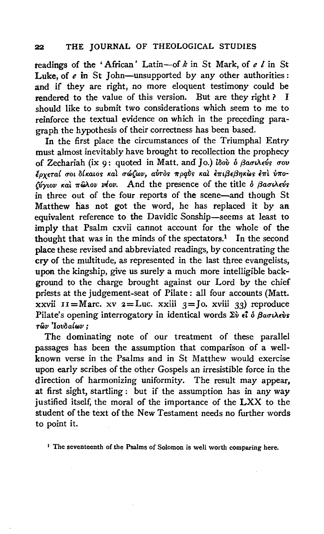## 22 THE JOURNAL OF THEOLOGICAL STUDIES

teadings of the 'African' Latin-of *k* in St Mark, of *e I* in St Luke, of *e* in St John-unsupported by any other authorities: and if they are right, no more eloquent testimony could be rendered to the value of this version. But are they right ? I should like to submit two considerations which seem to me to reinforce the textual evidence on which in the preceding paragraph the hypothesis of their correctness has been based.

In the first place the circumstances of the Triumphal Entry must almost inevitably have brought to recollection the prophecy of Zechariah (ix 9: quoted in Matt. and Jo.) *lδού ο βασιλεύς σου lpxera( uoL a!KaLoi; Kal uc6(wv, avToi; 1tpq,b1; KaL f.m{je{jYfKWi;* f.1tl. *{J1to-* (*v*γιον και πώλον νέον. And the presence of the title ο βασιλεύς in three out of the four reports of the scene-and though St Matthew has not got the word, he has replaced it by an equivalent reference to the Davidic Sonship-seems at least to imply that Psalm cxvii cannot account for the whole of the thought that was in the minds of the spectators.<sup>1</sup> In the second place these revised and abbreviated readings, by concentrating the cry of the multitude, as represented in the last three evangelists, upon the kingship, give us surely a much more intelligible background to the charge brought against our Lord by the chief priests at the judgement-seat of Pilate : all four accounts (Matt.  $\bar{x}$ xvii II = Marc. xv  $\bar{x}$  = Luc. xxiii  $\bar{x}$  = Jo. xviii 33) reproduce Pilate's opening interrogatory in identical words  $\Sigma \dot{v}$  *et*  $\delta$  *Baouletos rlJv 'Iov3a(wv* ;

The dominating note of our treatment of these parallel passages has been the assumption that comparison of a wellknown verse in the Psalms and in St Matthew would exercise upon early scribes of the other Gospels an irresistible force in the direction of harmonizing uniformity. The result may appear, at first sight, startling : but if the assumption has in any way justified itself, the moral of the importance of the LXX to the student of the text of the New Testament needs no further words to point it.

<sup>1</sup> The seventeenth of the Psalms of Solomon is well worth comparing here.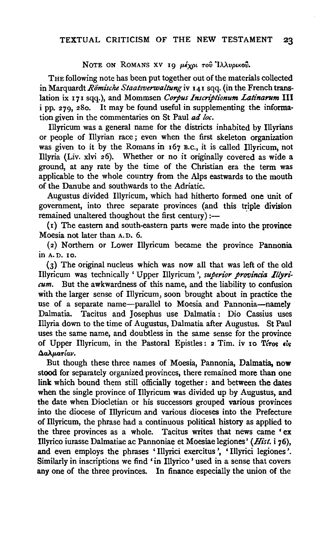## NOTE ON ROMANS XV 19 μέχρι του Ιλλυρικού.

THE following note has been put together out of the materials collected in Marquardt *Römische Staatsverwaltung* iv 141 sqq. (in the French translation ix 171 sqq.), and Mommsen *Corpus Inscriptionum Latinarum* Ill i pp. 279, 28o. It may be found useful in supplementing the information given in the commentaries on St Paul *ad loc.* 

Illyricum was a general name for the districts inhabited by Illyrians or people of Illyrian race; even when the first skeleton organization was given to it by the Romans in 167 B.c., it is called Illyricum, not Illyria (Liv. xlvi 26). Whether or no it originally covered as wide a ground, at any rate by the time of the Christian era the term was applicable to the whole country from the Alps eastwards to the mouth of the Danube and southwards to the Adriatic.

Augustus divided Illyricum, which had hitherto formed one unit of government, into three separate provinces (and this triple division remained unaltered thoughout the first century):—

(r) The eastern and south-eastern parts were made into the province Moesia not later than A. D. 6.

( 2) Northern or Lower Illyricum became the province Pannonia in A. D. 10.

(3) The original nucleus which was now all that was left of the old Illyricum was technically 'Upper Illyricum ', *superior provinda Illyricum.* But the awkwardness of this name, and the liability to confusion with the larger sense of Illyricum, soon brought about in practice the use of a separate name-parallel to Moesia and Pannonia-namely Dalmatia. Tacitus and Josephus use Dalmatia: Dio Cassius uses Illyria down to the time of Augustus, Dalmatia after Augustus. St Paul uses the same name, and doubtless in the same sense for the province of Upper Illyricum, in the Pastoral Epistles:  $2$  Tim. iv 10 T( $\tau$ os  $\epsilon$ )s  $\Delta$ *aλματίαν.* 

But though these three names of Moesia, Pannonia, Dalmatia, now stood for separately organized provinces, there remained more than one link which bound them still officially together : and between the dates when the single province of Illyricum was divided up by Augustus, and the date when Diocletian or his successors grouped various provinces into the diocese of Illyricum and various dioceses into the Prefecture of Illyricum, the phrase had a continuous political history as applied to the three provinces as a whole. Tacitus writes that news came ' ex Illyrico iurasse Dalmatiae ac Pannoniae et Moesiae legiones' *(Hist.* i 76), and even employs the phrases 'Illyrici exercitus ', 'Illyrici legiones '. Similarly in inscriptions we find 'in lllyrico ' used in a sense that covers any one of the three provinces. In finance especially the union of the